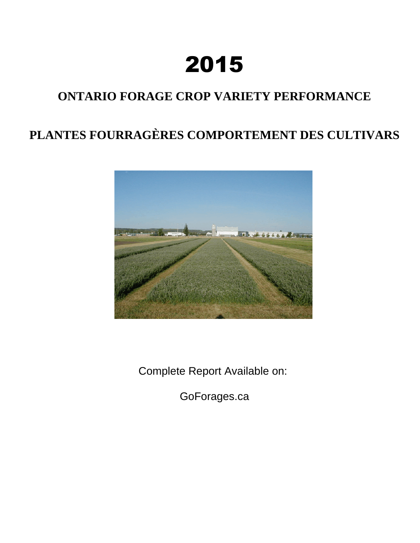# 2015

# **ONTARIO FORAGE CROP VARIETY PERFORMANCE**

# **PLANTES FOURRAGÈRES COMPORTEMENT DES CULTIVARS**



Complete Report Available on:

GoForages.ca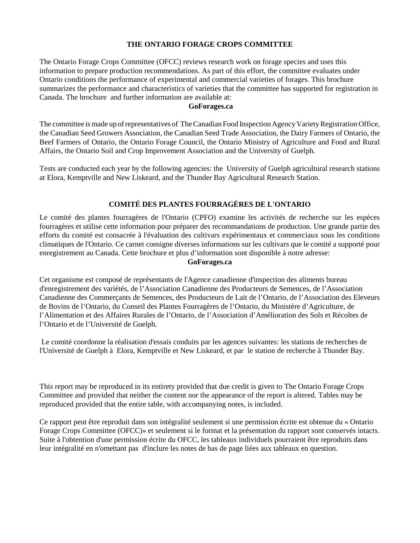# **THE ONTARIO FORAGE CROPS COMMITTEE**

The Ontario Forage Crops Committee (OFCC) reviews research work on forage species and uses this information to prepare production recommendations. As part of this effort, the committee evaluates under Ontario conditions the performance of experimental and commercial varieties of forages. This brochure summarizes the performance and characteristics of varieties that the committee has supported for registration in Canada. The brochure and further information are available at:

# **GoForages.ca**

The committee is made up of representatives of The Canadian Food Inspection Agency Variety Registration Office, the Canadian Seed Growers Association, the Canadian Seed Trade Association, the Dairy Farmers of Ontario, the Beef Farmers of Ontario, the Ontario Forage Council, the Ontario Ministry of Agriculture and Food and Rural Affairs, the Ontario Soil and Crop Improvement Association and the University of Guelph.

Tests are conducted each year by the following agencies: the University of Guelph agricultural research stations at Elora, Kemptville and New Liskeard, and the Thunder Bay Agricultural Research Station.

# **COMITÉ DES PLANTES FOURRAGÈRES DE L'ONTARIO**

Le comité des plantes fourragères de l'Ontario (CPFO) examine les activités de recherche sur les espèces fourragères et utilise cette information pour préparer des recommandations de production. Une grande partie des efforts du comité est consacrée à l'évaluation des cultivars expérimentaux et commerciaux sous les conditions climatiques de l'Ontario. Ce carnet consigne diverses informations sur les cultivars que le comité a supporté pour enregistrement au Canada. Cette brochure et plus d'information sont disponible à notre adresse:

# **GoForages.ca**

Cet organisme est composé de représentants de l'Agence canadienne d'inspection des aliments bureau d'enregistrement des variétés, de l'Association Canadienne des Producteurs de Semences, de l'Association Canadienne des Commerçants de Semences, des Producteurs de Lait de l'Ontario, de l'Association des Eleveurs de Bovins de l'Ontario, du Conseil des Plantes Fourragères de l'Ontario, du Ministère d'Agriculture, de l'Alimentation et des Affaires Rurales de l'Ontario, de l'Association d'Amélioration des Sols et Récoltes de l'Ontario et de l'Université de Guelph.

Le comité coordonne la réalisation d'essais conduits par les agences suivantes: les stations de recherches de l'Université de Guelph à Elora, Kemptville et New Liskeard, et par le station de recherche à Thunder Bay.

This report may be reproduced in its entirety provided that due credit is given to The Ontario Forage Crops Committee and provided that neither the content nor the appearance of the report is altered. Tables may be reproduced provided that the entire table, with accompanying notes, is included.

Ce rapport peut être reproduit dans son intégralité seulement si une permission écrite est obtenue du « Ontario Forage Crops Committee (OFCC)» et seulement si le format et la présentation du rapport sont conservés intacts. Suite à l'obtention d'une permission écrite du OFCC, les tableaux individuels pourraient être reproduits dans leur intégralité en n'omettant pas d'inclure les notes de bas de page liées aux tableaux en question.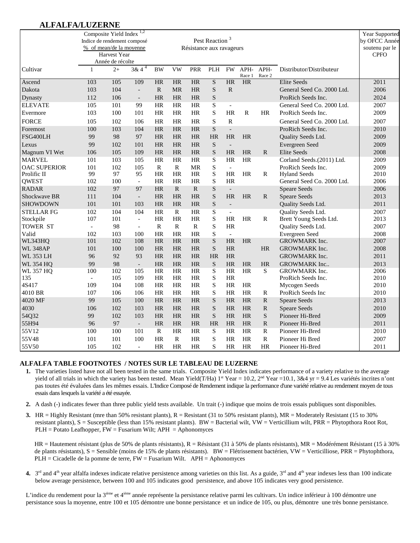# **ALFALFA/LUZERNE**

|                     | Composite Yield Index <sup>1,2</sup><br>Indice de rendement composé<br>% of mean/de la moyenne |                  |                          |              |              | Résistance aux ravageurs | Pest Reaction <sup>3</sup> |                          |                |                |                            | Year Supported<br>by OFCC Année<br>soutenu par le |
|---------------------|------------------------------------------------------------------------------------------------|------------------|--------------------------|--------------|--------------|--------------------------|----------------------------|--------------------------|----------------|----------------|----------------------------|---------------------------------------------------|
|                     |                                                                                                | Harvest Year     |                          |              |              |                          |                            |                          |                |                |                            | <b>CPFO</b>                                       |
|                     |                                                                                                | Année de récolte |                          |              |              |                          |                            |                          |                |                |                            |                                                   |
| Cultivar            | 1                                                                                              | $2+$             | $3 & 4^4$                | <b>BW</b>    | <b>VW</b>    | PRR                      | PLH                        | <b>FW</b>                | APH-<br>Race 1 | APH-<br>Race 2 | Distributor/Distributeur   |                                                   |
| Ascend              | 103                                                                                            | 105              | 109                      | HR           | HR           | HR                       | $\overline{\mathbf{S}}$    | <b>HR</b>                | HR             |                | <b>Elite Seeds</b>         | 2011                                              |
| Dakota              | 103                                                                                            | 104              | $\blacksquare$           | R            | <b>MR</b>    | <b>HR</b>                | ${\bf S}$                  | $\mathbb{R}$             |                |                | General Seed Co. 2000 Ltd. | 2006                                              |
| Dynasty             | 112                                                                                            | 106              | $\overline{\phantom{a}}$ | <b>HR</b>    | HR           | HR                       | ${\bf S}$                  |                          |                |                | ProRich Seeds Inc.         | 2024                                              |
| <b>ELEVATE</b>      | 105                                                                                            | 101              | 99                       | HR           | HR           | HR                       | $\mathbf S$                | $\blacksquare$           |                |                | General Seed Co. 2000 Ltd. | 2007                                              |
| Evermore            | 103                                                                                            | 100              | 101                      | HR           | $\rm{HR}$    | HR                       | $\mathbf S$                | HR                       | ${\bf R}$      | <b>HR</b>      | ProRich Seeds Inc.         | 2009                                              |
| <b>FORCE</b>        | 105                                                                                            | 102              | 106                      | HR           | HR           | HR                       | $\mathbf S$                | $\mathbf R$              |                |                | General Seed Co. 2000 Ltd. | 2007                                              |
| Foremost            | 100                                                                                            | 103              | 104                      | <b>HR</b>    | <b>HR</b>    | <b>HR</b>                | S                          | $\overline{a}$           |                |                | ProRich Seeds Inc.         | 2010                                              |
| FSG400LH            | 99                                                                                             | 98               | 97                       | <b>HR</b>    | <b>HR</b>    | <b>HR</b>                | HR                         | <b>HR</b>                | HR             |                | Quality Seeds Ltd.         | 2009                                              |
| Lexus               | 99                                                                                             | 102              | 101                      | <b>HR</b>    | <b>HR</b>    | <b>HR</b>                | ${\bf S}$                  | $\overline{\phantom{a}}$ |                |                | Evergreen Seed             | 2009                                              |
| Magnum VI Wet       | 106                                                                                            | 105              | 109                      | <b>HR</b>    | <b>HR</b>    | <b>HR</b>                | $\mathbf S$                | <b>HR</b>                | <b>HR</b>      | $\mathbf{R}$   | <b>Elite Seeds</b>         | 2008                                              |
| <b>MARVEL</b>       | 101                                                                                            | 103              | 105                      | <b>HR</b>    | HR           | HR                       | ${\bf S}$                  | <b>HR</b>                | <b>HR</b>      |                | Corland Seeds.(2011) Ltd.  | 2009                                              |
| <b>OAC SUPERIOR</b> | 101                                                                                            | 102              | 105                      | $\mathbf R$  | $\mathbf R$  | <b>MR</b>                | $\mathbf S$                | $\sim$                   |                |                | ProRich Seeds Inc.         | 2009                                              |
| Prolific II         | 99                                                                                             | 97               | 95                       | <b>HR</b>    | HR           | HR                       | S                          | <b>HR</b>                | HR             | $\mathbb{R}$   | <b>Hyland Seeds</b>        | 2010                                              |
| <b>QWEST</b>        | 102                                                                                            | 100              | $\blacksquare$           | <b>HR</b>    | <b>HR</b>    | HR                       | $\mathbf S$                | <b>HR</b>                |                |                | General Seed Co. 2000 Ltd. | 2006                                              |
| <b>RADAR</b>        | 102                                                                                            | 97               | 97                       | <b>HR</b>    | $\mathbb{R}$ | $\mathbb{R}$             | $\mathbf S$                | $\overline{\phantom{a}}$ |                |                | <b>Speare Seeds</b>        | 2006                                              |
| Shockwave BR        | 111                                                                                            | 104              | $\overline{\phantom{a}}$ | HR           | HR           | <b>HR</b>                | ${\bf S}$                  | HR                       | HR             | $\mathbf{R}$   | <b>Speare Seeds</b>        | 2013                                              |
| <b>SHOWDOWN</b>     | 101                                                                                            | 101              | 103                      | <b>HR</b>    | <b>HR</b>    | <b>HR</b>                | $\mathbf S$                | $\blacksquare$           |                |                | Quality Seeds Ltd.         | 2011                                              |
| <b>STELLAR FG</b>   | 102                                                                                            | 104              | 104                      | <b>HR</b>    | $\mathbb{R}$ | <b>HR</b>                | S                          | $\blacksquare$           |                |                | Quality Seeds Ltd.         | 2007                                              |
| Stockpile           | 107                                                                                            | 101              | $\blacksquare$           | HR           | HR           | HR                       | $\mathbf S$                | HR                       | HR             | $\mathbb{R}$   | Brett Young Seeds Ltd.     | 2013                                              |
| <b>TOWER ST</b>     | $\overline{\phantom{a}}$                                                                       | 98               | $\overline{\phantom{a}}$ | $\mathbf R$  | $\mathbf R$  | $\mathbf R$              | $\mathbf S$                | HR                       |                |                | Quality Seeds Ltd.         | 2007                                              |
| Valid               | 102                                                                                            | 103              | 100                      | <b>HR</b>    | <b>HR</b>    | <b>HR</b>                | $\mathbf S$                | $\mathcal{L}$            |                |                | Evergreen Seed             | 2008                                              |
| WL343HQ             | 101                                                                                            | 102              | 108                      | <b>HR</b>    | <b>HR</b>    | <b>HR</b>                | ${\bf S}$                  | HR                       | <b>HR</b>      |                | GROWMARK Inc.              | 2007                                              |
| <b>WL 348AP</b>     | 101                                                                                            | 100              | 100                      | <b>HR</b>    | <b>HR</b>    | HR                       | ${\bf S}$                  | HR                       |                | <b>HR</b>      | GROWMARK Inc.              | 2008                                              |
| <b>WL 353 LH</b>    | 96                                                                                             | 92               | 93                       | <b>HR</b>    | <b>HR</b>    | <b>HR</b>                | HR                         | <b>HR</b>                |                |                | GROWMARK Inc.              | 2011                                              |
| <b>WL 354 HQ</b>    | 99                                                                                             | 98               | $\Box$                   | <b>HR</b>    | <b>HR</b>    | <b>HR</b>                | S                          | <b>HR</b>                | <b>HR</b>      | <b>HR</b>      | <b>GROWMARK</b> Inc        | 2013                                              |
| <b>WL 357 HQ</b>    | 100                                                                                            | 102              | 105                      | <b>HR</b>    | HR           | HR                       | S                          | <b>HR</b>                | <b>HR</b>      | S              | <b>GROWMARK</b> Inc.       | 2006                                              |
| 135                 | $\overline{a}$                                                                                 | 105              | 109                      | <b>HR</b>    | HR           | HR                       | ${\bf S}$                  | <b>HR</b>                |                |                | ProRich Seeds Inc.         | 2010                                              |
| 4S417               | 109                                                                                            | 104              | 108                      | <b>HR</b>    | <b>HR</b>    | <b>HR</b>                | S                          | <b>HR</b>                | HR             |                | Mycogen Seeds              | 2010                                              |
| 4010 BR             | 107                                                                                            | 106              | 106                      | <b>HR</b>    | HR           | HR                       | S                          | <b>HR</b>                | HR             | R              | ProRich Seeds Inc          | 2010                                              |
| 4020 MF             | 99                                                                                             | 105              | 100                      | <b>HR</b>    | <b>HR</b>    | <b>HR</b>                | $\mathbf S$                | <b>HR</b>                | <b>HR</b>      | ${\bf R}$      | <b>Speare Seeds</b>        | 2013                                              |
| 4030                | 106                                                                                            | 102              | 103                      | <b>HR</b>    | <b>HR</b>    | <b>HR</b>                | ${\bf S}$                  | HR                       | HR             | ${\bf R}$      | <b>Speare Seeds</b>        | 2010                                              |
| 54Q32               | 99                                                                                             | 102              | 103                      | <b>HR</b>    | <b>HR</b>    | <b>HR</b>                | ${\bf S}$                  | <b>HR</b>                | <b>HR</b>      | ${\bf S}$      | Pioneer Hi-Bred            | 2009                                              |
| 55H94               | 96                                                                                             | 97               | $\overline{\phantom{a}}$ | HR           | <b>HR</b>    | <b>HR</b>                | HR                         | <b>HR</b>                | HR             | ${\bf R}$      | Pioneer Hi-Bred            | 2011                                              |
| 55V12               | 100                                                                                            | 100              | 101                      | $\mathbb{R}$ | HR           | HR                       | S                          | <b>HR</b>                | HR             | $\mathbb{R}$   | Pioneer Hi-Bred            | 2010                                              |
| 55V48               | 101                                                                                            | 101              | 100                      | HR           | $\mathbb{R}$ | <b>HR</b>                | $\mathbf S$                | <b>HR</b>                | HR             | ${\bf R}$      | Pioneer Hi Bred            | 2007                                              |
| 55V50               | 105                                                                                            | 102              | $\blacksquare$           | <b>HR</b>    | <b>HR</b>    | <b>HR</b>                | S                          | <b>HR</b>                | <b>HR</b>      | <b>HR</b>      | Pioneer Hi-Bred            | 2011                                              |

#### **ALFALFA TABLE FOOTNOTES / NOTES SUR LE TABLEAU DE LUZERNE**

- **1.** The varieties listed have not all been tested in the same trials. Composite Yield Index indicates performance of a variety relative to the average yield of all trials in which the variety has been tested. Mean Yield(T/Ha)  $1<sup>st</sup>$  Year = 10.2,  $2<sup>nd</sup>$  Year = 10.1,  $3&4$  yr = 9.4 Les varietés incrites n'ont pas toutes été évaluées dans les mêmes essais. L'Indice Composé de Rendement indique la performance d'une variété relative au rendement moyen de tous essais dans lesquels la variété a été essayée.
- **2.** A dash (-) indicates fewer than three public yield tests available. Un trait (-) indique que moins de trois essais publiques sont disponibles.
- **3.** HR = Highly Resistant (mre than 50% resistant plants), R = Resistant (31 to 50% resistant plants), MR = Moderately Resistant (15 to 30% resistant plants), S = Susceptible (less than 15% resistant plants). BW = Bacterial wilt, VW = Verticillium wilt, PRR = Phytopthora Root Rot, PLH = Potato Leafhopper, FW = Fusarium Wilt; APH = Aphonomyces

HR = Hautement résistant (plus de 50% de plants résistants), R = Résistant (31 à 50% de plants résistants), MR = Modérément Résistant (15 à 30% de plants résistants), S = Sensible (moins de 15% de plants résistants). BW = Flétrissement bactérien, VW = Verticilliose, PRR = Phytophthora, PLH = Cicadelle de la pomme de terre, FW = Fusarium Wilt. APH = Aphonomyces

**4.**  $3<sup>rd</sup>$  and 4<sup>th</sup> year alfalfa indexes indicate relative persistence among varieties on this list. As a guide,  $3<sup>rd</sup>$  and 4<sup>th</sup> year indexes less than 100 indicate below average persistence, between 100 and 105 indicates good persistence, and above 105 indicates very good persistence.

L'indice du rendement pour la 3<sup>ième</sup> et 4<sup>ième</sup> année représente la persistance relative parmi les cultivars. Un indice inférieur à 100 démontre une persistance sous la moyenne, entre 100 et 105 démontre une bonne persistance et un indice de 105, ou plus, démontre une très bonne persistance.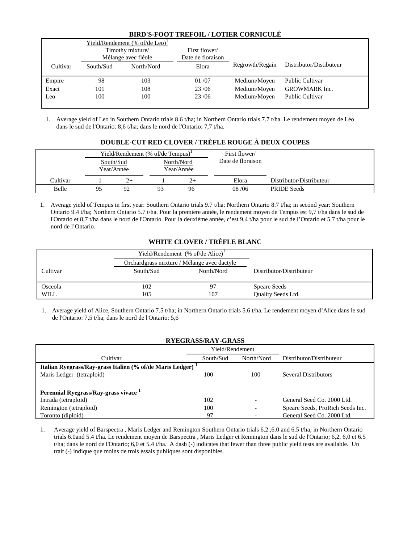## **BIRD'S-FOOT TREFOIL / LOTIER CORNICULÉ**

|          |           | Yield/Rendement (% of/de Leo) <sup>1</sup><br>Timothy mixture/<br>Mélange avec fléole | First flower/<br>Date de floraison |                 |                         |
|----------|-----------|---------------------------------------------------------------------------------------|------------------------------------|-----------------|-------------------------|
| Cultivar | South/Sud | North/Nord                                                                            | Elora                              | Regrowth/Regain | Distributor/Distibuteur |
| Empire   | 98        | 103                                                                                   | 01/07                              | Medium/Moven    | <b>Public Cultivar</b>  |
| Exact    | 101       | 108                                                                                   | 23/06                              | Medium/Moven    | <b>GROWMARK</b> Inc.    |
| Leo      | 100       | 100                                                                                   | 23/06                              | Medium/Moven    | <b>Public Cultivar</b>  |

1. Average yield of Leo in Southern Ontario trials 8.6 t/ha; in Northern Ontario trials 7.7 t/ha. Le rendement moyen de Léo dans le sud de l'Ontario: 8,6 t/ha; dans le nord de l'Ontario: 7,7 t/ha.

# **DOUBLE-CUT RED CLOVER / TRÈFLE ROUGE À DEUX COUPES**

|          |    |                         | Yield/Rendement (% of/de Tempus) <sup>1</sup> |                          | First flower/     |                          |
|----------|----|-------------------------|-----------------------------------------------|--------------------------|-------------------|--------------------------|
|          |    | South/Sud<br>Year/Année |                                               | North/Nord<br>Year/Année | Date de floraison |                          |
| Cultivar |    | 2+                      |                                               | $2+$                     | Elora             | Distributor/Distributeur |
| Belle    | 95 | 92                      | 93                                            | 96                       | 08/06             | <b>PRIDE</b> Seeds       |

1. Average yield of Tempus in first year: Southern Ontario trials 9.7 t/ha; Northern Ontario 8.7 t/ha; in second year: Southern Ontario 9.4 t/ha; Northern Ontario 5.7 t/ha. Pour la première année, le rendement moyen de Tempus est 9,7 t/ha dans le sud de l'Ontario et 8,7 t/ha dans le nord de l'Ontario. Pour la deuxième année, c'est 9,4 t/ha pour le sud de l'Ontario et 5,7 t/ha pour le nord de l'Ontario.

# **WHITE CLOVER / TRÈFLE BLANC**

|          |                                             | Yield/Rendement $% of/de$ Alice) <sup>1</sup> |                          |
|----------|---------------------------------------------|-----------------------------------------------|--------------------------|
|          | Orchardgrass mixture / Mélange avec dactyle |                                               |                          |
| Cultivar | South/Sud                                   | North/Nord                                    | Distributor/Distributeur |
| Osceola  | 102                                         | 97                                            | <b>Speare Seeds</b>      |
| WILL     | 105                                         | 107                                           | Quality Seeds Ltd.       |
|          |                                             |                                               |                          |

1. Average yield of Alice, Southern Ontario 7.5 t/ha; in Northern Ontario trials 5.6 t/ha. Le rendement moyen d'Alice dans le sud de l'Ontario: 7,5 t/ha; dans le nord de l'Ontario: 5,6

| <b>RYEGRASS/RAY-GRASS</b>                                              |                 |                          |                                  |  |  |  |  |
|------------------------------------------------------------------------|-----------------|--------------------------|----------------------------------|--|--|--|--|
|                                                                        | Yield/Rendement |                          |                                  |  |  |  |  |
| Cultivar                                                               | South/Sud       | North/Nord               | Distributor/Distributeur         |  |  |  |  |
| Italian Ryegrass/Ray-grass Italien (% of/de Maris Ledger) <sup>1</sup> |                 |                          |                                  |  |  |  |  |
| Maris Ledger (tetraploid)                                              | 100             | 100                      | Several Distributors             |  |  |  |  |
|                                                                        |                 |                          |                                  |  |  |  |  |
| Perennial Ryegrass/Ray-grass vivace <sup>1</sup>                       |                 |                          |                                  |  |  |  |  |
| Intrada (tetraploid)                                                   | 102             | $\overline{\phantom{a}}$ | General Seed Co. 2000 Ltd.       |  |  |  |  |
| Remington (tetraploid)                                                 | 100             | $\overline{\phantom{0}}$ | Speare Seeds, ProRich Seeds Inc. |  |  |  |  |
| Toronto (diploid)                                                      | 97              |                          | General Seed Co. 2000 Ltd.       |  |  |  |  |

1. Average yield of Barspectra , Maris Ledger and Remington Southern Ontario trials 6.2 ,6.0 and 6.5 t/ha; in Northern Ontario trials 6.0and 5.4 t/ha. Le rendement moyen de Barspectra , Maris Ledger et Remington dans le sud de l'Ontario; 6,2, 6,0 et 6.5 t/ha; dans le nord de l'Ontario; 6,0 et 5,4 t/ha. A dash (-) indicates that fewer than three public yield tests are available. Un trait (-) indique que moins de trois essais publiques sont disponibles.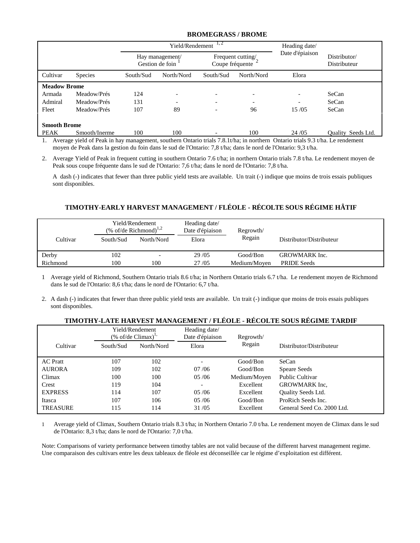#### **BROMEGRASS / BROME**

|                     |                |                                    | Yield/Rendement          | 1, 2                                 | Heading date/ |                 |                              |
|---------------------|----------------|------------------------------------|--------------------------|--------------------------------------|---------------|-----------------|------------------------------|
|                     |                | Hay management/<br>Gestion de foin |                          | Frequent cutting/<br>Coupe fréquente |               | Date d'épiaison | Distributor/<br>Distributeur |
| Cultivar            | <b>Species</b> | South/Sud                          | North/Nord               | South/Sud                            | North/Nord    | Elora           |                              |
| <b>Meadow Brome</b> |                |                                    |                          |                                      |               |                 |                              |
| Armada              | Meadow/Prés    | 124                                |                          |                                      |               |                 | SeCan                        |
| Admiral             | Meadow/Prés    | 131                                | $\overline{\phantom{0}}$ |                                      |               |                 | SeCan                        |
| Fleet               | Meadow/Prés    | 107                                | 89                       |                                      | 96            | 15/05           | SeCan                        |
| <b>Smooth Brome</b> |                |                                    |                          |                                      |               |                 |                              |
| PEAK                | Smooth/Inerme  | 100                                | 100                      |                                      | 100           | 24/05           | Quality Seeds Ltd.           |

1. Average yield of Peak in hay management, southern Ontario trials 7.8.1t/ha; in northern Ontario trials 9.3 t/ha. Le rendement moyen de Peak dans la gestion du foin dans le sud de l'Ontario: 7,8 t/ha; dans le nord de l'Ontario: 9,3 t/ha.

2. Average Yield of Peak in frequent cutting in southern Ontario 7.6 t/ha; in northern Ontario trials 7.8 t/ha. Le rendement moyen de Peak sous coupe fréquente dans le sud de l'Ontario: 7,6 t/ha; dans le nord de l'Ontario: 7,8 t/ha.

A dash (-) indicates that fewer than three public yield tests are available. Un trait (-) indique que moins de trois essais publiques sont disponibles.

# **TIMOTHY-EARLY HARVEST MANAGEMENT / FLÉOLE - RÉCOLTE SOUS RÉGIME HÂTIF**

|                   | Yield/Rendement<br>$% of$ /de Richmond) <sup>1,2</sup> |                                 | Heading date/<br>Date d'épiaison | Regrowth/                |                                            |
|-------------------|--------------------------------------------------------|---------------------------------|----------------------------------|--------------------------|--------------------------------------------|
| Cultivar          | South/Sud                                              | North/Nord                      | Elora                            | Regain                   | Distributor/Distributeur                   |
| Derby<br>Richmond | 102<br>100                                             | $\overline{\phantom{0}}$<br>100 | 29/05<br>27/05                   | Good/Bon<br>Medium/Moyen | <b>GROWMARK</b> Inc.<br><b>PRIDE Seeds</b> |

1 Average yield of Richmond, Southern Ontario trials 8.6 t/ha; in Northern Ontario trials 6.7 t/ha. Le rendement moyen de Richmond dans le sud de l'Ontario: 8,6 t/ha; dans le nord de l'Ontario: 6,7 t/ha.

2. A dash (-) indicates that fewer than three public yield tests are available. Un trait (-) indique que moins de trois essais publiques sont disponibles.

#### **TIMOTHY-LATE HARVEST MANAGEMENT / FLÉOLE - RÉCOLTE SOUS RÉGIME TARDIF**

|                 | Yield/Rendement<br>$(\%$ of/de Climax) <sup>1,</sup> |            | Heading date/<br>Date d'épiaison | Regrowth/    |                            |
|-----------------|------------------------------------------------------|------------|----------------------------------|--------------|----------------------------|
| Cultivar        | South/Sud                                            | North/Nord | Elora                            | Regain       | Distributor/Distributeur   |
| <b>AC</b> Pratt | 107                                                  | 102        |                                  | Good/Bon     | SeCan                      |
| <b>AURORA</b>   | 109                                                  | 102        | 07/06                            | Good/Bon     | Speare Seeds               |
| Climax          | 100                                                  | 100        | 05/06                            | Medium/Moyen | <b>Public Cultivar</b>     |
| Crest           | 119                                                  | 104        |                                  | Excellent    | GROWMARK Inc.              |
| <b>EXPRESS</b>  | 114                                                  | 107        | 05/06                            | Excellent    | Quality Seeds Ltd.         |
| Itasca          | 107                                                  | 106        | 05/06                            | Good/Bon     | ProRich Seeds Inc.         |
| <b>TREASURE</b> | 115                                                  | 114        | 31/05                            | Excellent    | General Seed Co. 2000 Ltd. |

1 Average yield of Climax, Southern Ontario trials 8.3 t/ha; in Northern Ontario 7.0 t/ha. Le rendement moyen de Climax dans le sud de l'Ontario: 8,3 t/ha; dans le nord de l'Ontario: 7,0 t/ha.

Note: Comparisons of variety performance between timothy tables are not valid because of the different harvest management regime. Une comparaison des cultivars entre les deux tableaux de fléole est déconseillée car le régime d'exploitation est différent.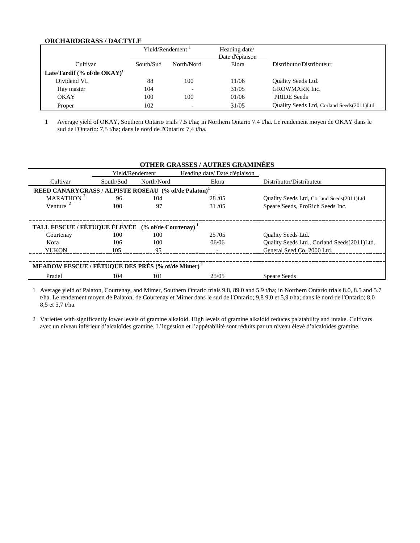#### **ORCHARDGRASS / DACTYLE**

|                                          | Yield/Rendement <sup>1</sup> |                          | Heading date/<br>Date d'épiaison |                                           |
|------------------------------------------|------------------------------|--------------------------|----------------------------------|-------------------------------------------|
| Cultivar                                 | South/Sud                    | North/Nord               | Elora                            | Distributor/Distributeur                  |
| Late/Tardif $%$ of/de OKAY) <sup>1</sup> |                              |                          |                                  |                                           |
| Dividend VL                              | 88                           | 100                      | 11/06                            | Quality Seeds Ltd.                        |
| Hay master                               | 104                          | $\overline{\phantom{0}}$ | 31/05                            | <b>GROWMARK</b> Inc.                      |
| <b>OKAY</b>                              | 100                          | 100                      | 01/06                            | <b>PRIDE Seeds</b>                        |
| Proper                                   | 102                          | $\overline{\phantom{0}}$ | 31/05                            | Quality Seeds Ltd, Corland Seeds(2011)Ltd |

1 Average yield of OKAY, Southern Ontario trials 7.5 t/ha; in Northern Ontario 7.4 t/ha. Le rendement moyen de OKAY dans le sud de l'Ontario: 7,5 t/ha; dans le nord de l'Ontario: 7,4 t/ha.

|                                                               |                                                                  |            | <b>OTHER GRASSES / AUTRES GRAMINÉES</b> |                                             |  |  |  |  |
|---------------------------------------------------------------|------------------------------------------------------------------|------------|-----------------------------------------|---------------------------------------------|--|--|--|--|
|                                                               | Yield/Rendement                                                  |            | Heading date/ Date d'épiaison           |                                             |  |  |  |  |
| Cultivar                                                      | South/Sud                                                        | North/Nord | Elora                                   | Distributor/Distributeur                    |  |  |  |  |
|                                                               | REED CANARYGRASS / ALPISTE ROSEAU (% of/de Palaton) <sup>1</sup> |            |                                         |                                             |  |  |  |  |
| MARATHON <sup>2</sup>                                         | 96                                                               | 104        | 28/05                                   | Quality Seeds Ltd, Corland Seeds(2011)Ltd   |  |  |  |  |
| Venture $2$                                                   | 100                                                              | 97         | 31/05                                   | Speare Seeds, ProRich Seeds Inc.            |  |  |  |  |
|                                                               |                                                                  |            |                                         |                                             |  |  |  |  |
| TALL FESCUE / FÉTUQUE ÉLEVÉE (% of/de Courtenay) <sup>1</sup> |                                                                  |            |                                         |                                             |  |  |  |  |
| Courtenay                                                     | 100                                                              | 100        | 25/05                                   | Quality Seeds Ltd.                          |  |  |  |  |
| Kora                                                          | 106                                                              | 100        | 06/06                                   | Quality Seeds Ltd., Corland Seeds(2011)Ltd. |  |  |  |  |
| <b>YUKON</b>                                                  | 105                                                              | 95         |                                         | General Seed Co. 2000 Ltd.                  |  |  |  |  |
|                                                               |                                                                  |            |                                         |                                             |  |  |  |  |
| MEADOW FESCUE / FÉTUQUE DES PRÉS (% of/de Mimer) <sup>1</sup> |                                                                  |            |                                         |                                             |  |  |  |  |
| Pradel                                                        | 104                                                              | 101        | 25/05                                   | <b>Speare Seeds</b>                         |  |  |  |  |

1 Average yield of Palaton, Courtenay, and Mimer, Southern Ontario trials 9.8, 89.0 and 5.9 t/ha; in Northern Ontario trials 8.0, 8.5 and 5.7 t/ha. Le rendement moyen de Palaton, de Courtenay et Mimer dans le sud de l'Ontario; 9,8 9,0 et 5,9 t/ha; dans le nord de l'Ontario; 8,0 8,5 et 5,7 t/ha.

2 Varieties with significantly lower levels of gramine alkaloid. High levels of gramine alkaloid reduces palatability and intake. Cultivars avec un niveau inférieur d'alcaloïdes gramine. L'ingestion et l'appétabilité sont réduits par un niveau élevé d'alcaloïdes gramine.